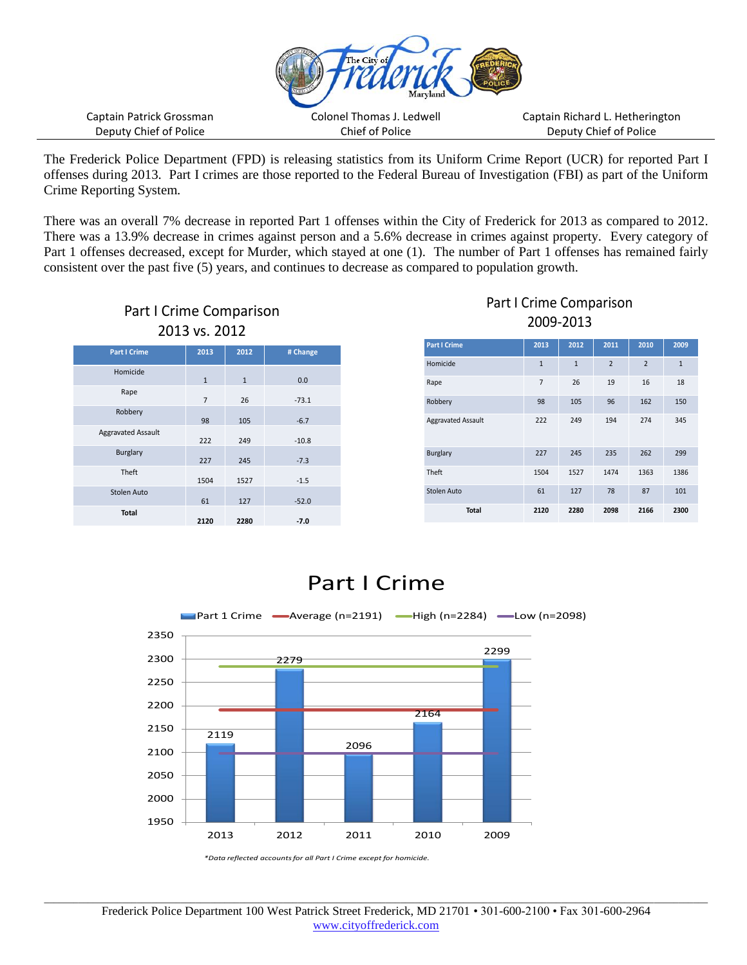

The Frederick Police Department (FPD) is releasing statistics from its Uniform Crime Report (UCR) for reported Part I offenses during 2013. Part I crimes are those reported to the Federal Bureau of Investigation (FBI) as part of the Uniform Crime Reporting System.

There was an overall 7% decrease in reported Part 1 offenses within the City of Frederick for 2013 as compared to 2012. There was a 13.9% decrease in crimes against person and a 5.6% decrease in crimes against property. Every category of Part 1 offenses decreased, except for Murder, which stayed at one (1). The number of Part 1 offenses has remained fairly consistent over the past five (5) years, and continues to decrease as compared to population growth.



## Part I Crime Comparison 2009-2013

| <b>Part I Crime</b>       | 2013           | 2012         | 2011           | 2010           | 2009         |
|---------------------------|----------------|--------------|----------------|----------------|--------------|
| Homicide                  | $\mathbf{1}$   | $\mathbf{1}$ | $\overline{2}$ | $\overline{2}$ | $\mathbf{1}$ |
| Rape                      | $\overline{7}$ | 26           | 19             | 16             | 18           |
| Robbery                   | 98             | 105          | 96             | 162            | 150          |
| <b>Aggravated Assault</b> | 222            | 249          | 194            | 274            | 345          |
| <b>Burglary</b>           | 227            | 245          | 235            | 262            | 299          |
| Theft                     | 1504           | 1527         | 1474           | 1363           | 1386         |
| Stolen Auto               | 61             | 127          | 78             | 87             | 101          |
| Total                     | 2120           | 2280         | 2098           | 2166           | 2300         |

## Part I Crime

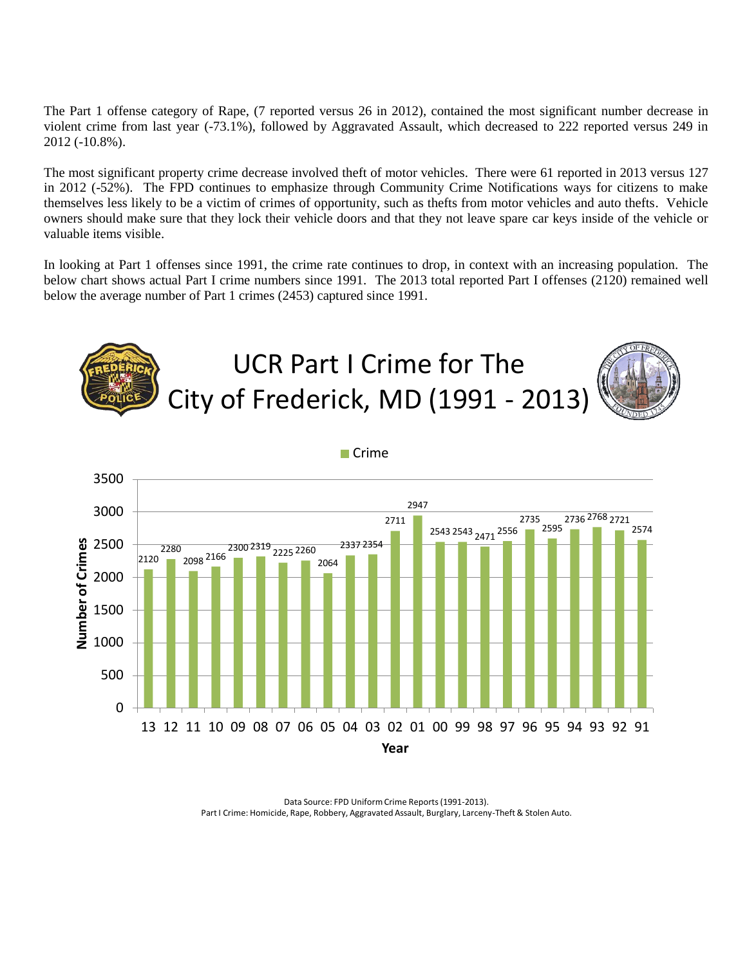The Part 1 offense category of Rape, (7 reported versus 26 in 2012), contained the most significant number decrease in violent crime from last year (-73.1%), followed by Aggravated Assault, which decreased to 222 reported versus 249 in 2012 (-10.8%).

The most significant property crime decrease involved theft of motor vehicles. There were 61 reported in 2013 versus 127 in 2012 (-52%). The FPD continues to emphasize through Community Crime Notifications ways for citizens to make themselves less likely to be a victim of crimes of opportunity, such as thefts from motor vehicles and auto thefts. Vehicle owners should make sure that they lock their vehicle doors and that they not leave spare car keys inside of the vehicle or valuable items visible.

In looking at Part 1 offenses since 1991, the crime rate continues to drop, in context with an increasing population. The below chart shows actual Part I crime numbers since 1991. The 2013 total reported Part I offenses (2120) remained well below the average number of Part 1 crimes (2453) captured since 1991.



Data Source: FPD Uniform Crime Reports (1991-2013). Part I Crime: Homicide, Rape, Robbery, Aggravated Assault, Burglary, Larceny-Theft & Stolen Auto.